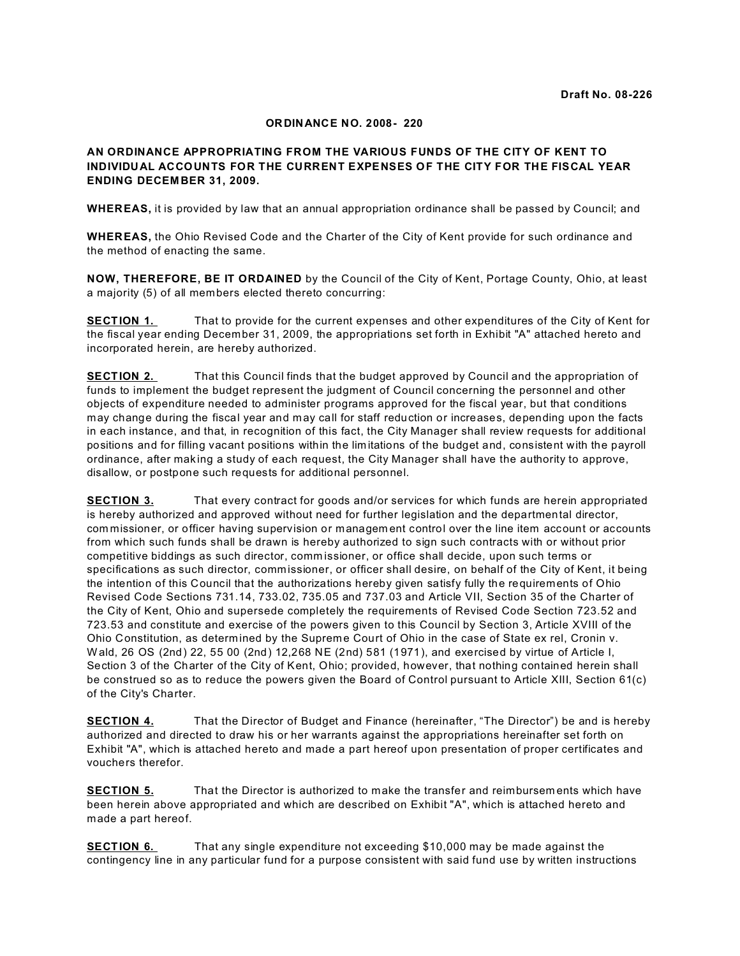#### **ORDINANCE NO. 2008- 220**

#### **AN ORDINANCE APPROPRIATING FROM THE VARIOUS FUNDS OF THE CITY OF KENT TO INDIVIDUAL ACCOUNTS FOR THE CURRENT EXPENSES OF THE CITY FOR THE FISCAL YEAR ENDING DECEM BER 31, 2009.**

**WHEREAS,** it is provided by law that an annual appropriation ordinance shall be passed by Council; and

**WHEREAS,** the Ohio Revised Code and the Charter of the City of Kent provide for such ordinance and the method of enacting the same.

**NOW, THEREFORE, BE IT ORDAINED** by the Council of the City of Kent, Portage County, Ohio, at least a majority (5) of all members elected thereto concurring:

**SECTION 1.** That to provide for the current expenses and other expenditures of the City of Kent for the fiscal year ending December 31, 2009, the appropriations set forth in Exhibit "A" attached hereto and incorporated herein, are hereby authorized.

**SECTION 2.** That this Council finds that the budget approved by Council and the appropriation of funds to implement the budget represent the judgment of Council concerning the personnel and other objects of expenditure needed to administer programs approved for the fiscal year, but that conditions may change during the fiscal year and may call for staff reduction or increases, depending upon the facts in each instance, and that, in recognition of this fact, the City Manager shall review requests for additional positions and for filling vacant positions within the lim itations of the budget and, consistent with the payroll ordinance, after making a study of each request, the City Manager shall have the authority to approve, disallow, or postpone such requests for additional personnel.

**SECTION 3.** That every contract for goods and/or services for which funds are herein appropriated is hereby authorized and approved without need for further legislation and the departmental director, com missioner, or officer having supervision or managem ent control over the line item account or accounts from which such funds shall be drawn is hereby authorized to sign such contracts with or without prior competitive biddings as such director, comm issioner, or office shall decide, upon such terms or specifications as such director, commissioner, or officer shall desire, on behalf of the City of Kent, it being the intention of this Council that the authorizations hereby given satisfy fully the requirements of Ohio Revised Code Sections 731.14, 733.02, 735.05 and 737.03 and Article VII, Section 35 of the Charter of the City of Kent, Ohio and supersede completely the requirements of Revised Code Section 723.52 and 723.53 and constitute and exercise of the powers given to this Council by Section 3, Article XVIII of the Ohio Constitution, as determ ined by the Supreme Court of Ohio in the case of State ex rel, Cronin v. W ald, 26 OS (2nd) 22, 55 00 (2nd) 12,268 NE (2nd) 581 (1971), and exercised by virtue of Article I, Section 3 of the Charter of the City of Kent, Ohio; provided, however, that nothing contained herein shall be construed so as to reduce the powers given the Board of Control pursuant to Article XIII, Section 61(c) of the City's Charter.

**SECTION 4.** That the Director of Budget and Finance (hereinafter, "The Director") be and is hereby authorized and directed to draw his or her warrants against the appropriations hereinafter set forth on Exhibit "A", which is attached hereto and made a part hereof upon presentation of proper certificates and vouchers therefor.

**SECTION 5.** That the Director is authorized to make the transfer and reimbursements which have been herein above appropriated and which are described on Exhibit "A", which is attached hereto and made a part hereof.

**SECTION 6.** That any single expenditure not exceeding \$10,000 may be made against the contingency line in any particular fund for a purpose consistent with said fund use by written instructions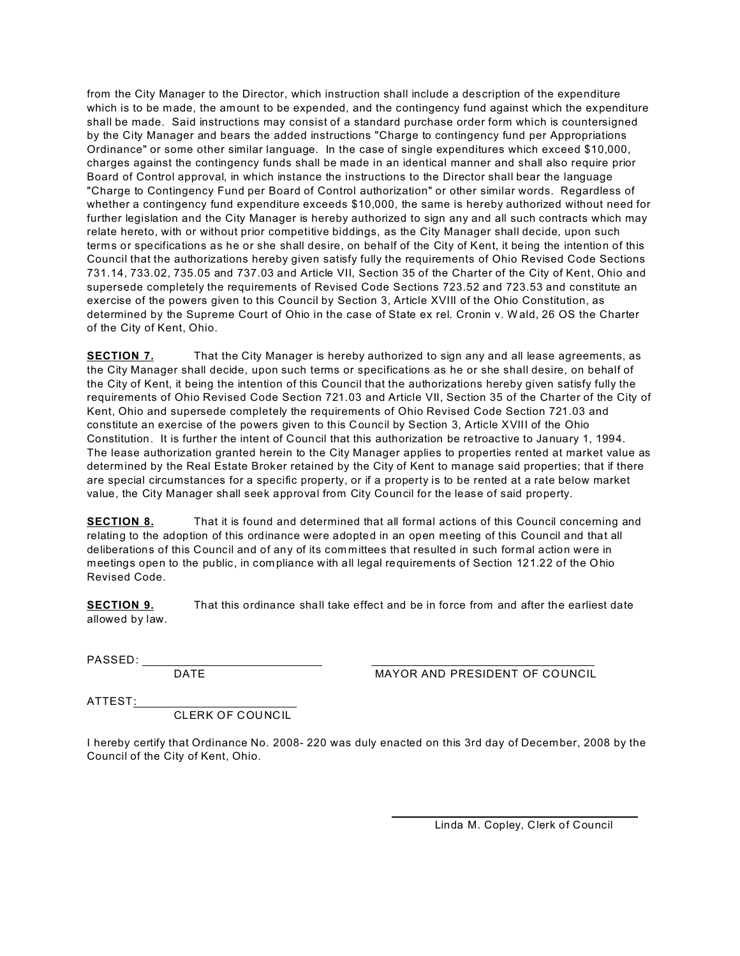from the City Manager to the Director, which instruction shall include a description of the expenditure which is to be made, the amount to be expended, and the contingency fund against which the expenditure shall be made. Said instructions may consist of a standard purchase order form which is countersigned by the City Manager and bears the added instructions "Charge to contingency fund per Appropriations Ordinance" or some other similar language. In the case of single expenditures which exceed \$10,000, charges against the contingency funds shall be made in an identical manner and shall also require prior Board of Control approval, in which instance the instructions to the Director shall bear the language "Charge to Contingency Fund per Board of Control authorization" or other similar words. Regardless of whether a contingency fund expenditure exceeds \$10,000, the same is hereby authorized without need for further legislation and the City Manager is hereby authorized to sign any and all such contracts which may relate hereto, with or without prior competitive biddings, as the City Manager shall decide, upon such terms or specifications as he or she shall desire, on behalf of the City of Kent, it being the intention of this Council that the authorizations hereby given satisfy fully the requirements of Ohio Revised Code Sections 731.14, 733.02, 735.05 and 737.03 and Article VII, Section 35 of the Charter of the City of Kent, Ohio and supersede completely the requirements of Revised Code Sections 723.52 and 723.53 and constitute an exercise of the powers given to this Council by Section 3, Article XVIII of the Ohio Constitution, as determined by the Supreme Court of Ohio in the case of State ex rel. Cronin v. W ald, 26 OS the Charter of the City of Kent, Ohio.

**SECTION 7.** That the City Manager is hereby authorized to sign any and all lease agreements, as the City Manager shall decide, upon such terms or specifications as he or she shall desire, on behalf of the City of Kent, it being the intention of this Council that the authorizations hereby given satisfy fully the requirements of Ohio Revised Code Section 721.03 and Article VII, Section 35 of the Charter of the City of Kent, Ohio and supersede completely the requirements of Ohio Revised Code Section 721.03 and constitute an exercise of the powers given to this Council by Section 3, Article XVIII of the Ohio Constitution. It is further the intent of Council that this authorization be retroactive to January 1, 1994. The lease authorization granted herein to the City Manager applies to properties rented at market value as determined by the Real Estate Broker retained by the City of Kent to manage said properties; that if there are special circumstances for a specific property, or if a property is to be rented at a rate below market value, the City Manager shall seek approval from City Council for the lease of said property.

**SECTION 8.** That it is found and determined that all formal actions of this Council concerning and relating to the adoption of this ordinance were adopted in an open meeting of this Council and that all deliberations of this Council and of any of its com mittees that resulted in such formal action were in meetings open to the public, in com pliance with all legal requirements of Section 121.22 of the Ohio Revised Code.

**SECTION 9.** That this ordinance shall take effect and be in force from and after the earliest date allowed by law.

PASSED:

DATE **MAYOR AND PRESIDENT OF COUNCIL** 

ATTEST:

CLERK OF COUNCIL

I hereby certify that Ordinance No. 2008- 220 was duly enacted on this 3rd day of December, 2008 by the Council of the City of Kent, Ohio.

Linda M. Copley, Clerk of Council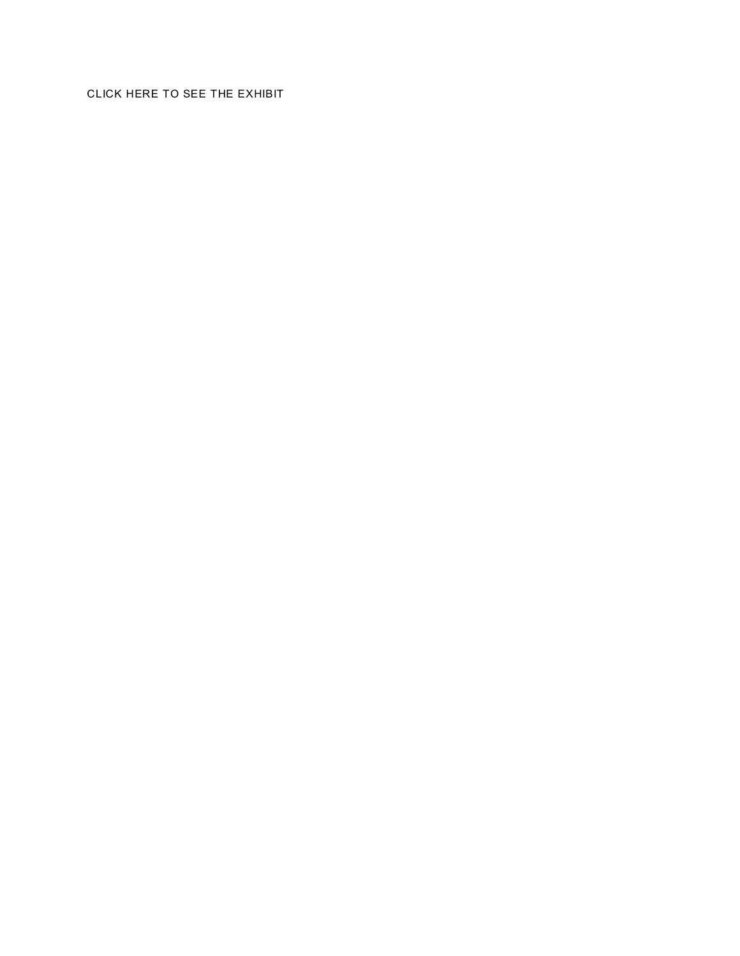## CLICK HERE TO SEE THE EXHIBIT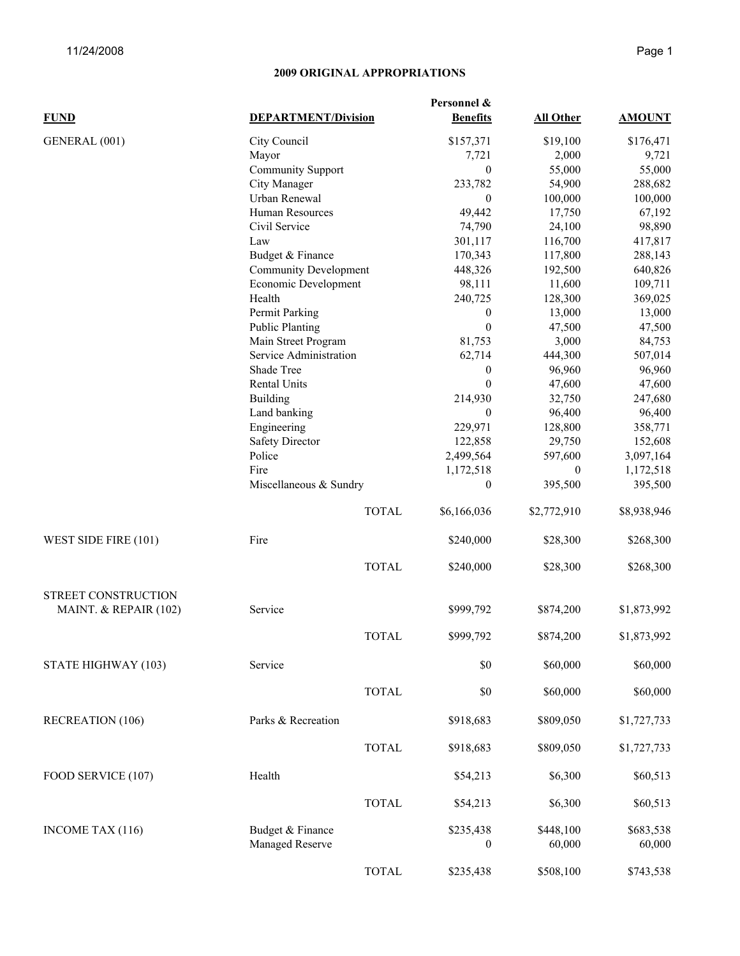| <b>FUND</b>           | <b>DEPARTMENT/Division</b>          |              | <b>Benefits</b>               | All Other           | <b>AMOUNT</b>       |
|-----------------------|-------------------------------------|--------------|-------------------------------|---------------------|---------------------|
| GENERAL (001)         | City Council                        |              | \$157,371                     | \$19,100            | \$176,471           |
|                       | Mayor                               |              | 7,721                         | 2,000               | 9,721               |
|                       | <b>Community Support</b>            |              | $\mathbf{0}$                  | 55,000              | 55,000              |
|                       | City Manager                        |              | 233,782                       | 54,900              | 288,682             |
|                       | Urban Renewal                       |              | $\mathbf{0}$                  | 100,000             | 100,000             |
|                       | Human Resources                     |              | 49,442                        | 17,750              | 67,192              |
|                       | Civil Service                       |              | 74,790                        | 24,100              | 98,890              |
|                       | Law                                 |              | 301,117                       | 116,700             | 417,817             |
|                       | Budget & Finance                    |              | 170,343                       | 117,800             | 288,143             |
|                       | <b>Community Development</b>        |              | 448,326                       | 192,500             | 640,826             |
|                       | Economic Development                |              | 98,111                        | 11,600              | 109,711             |
|                       | Health                              |              | 240,725                       | 128,300             | 369,025             |
|                       | Permit Parking                      |              | $\overline{0}$                | 13,000              | 13,000              |
|                       | <b>Public Planting</b>              |              | $\mathbf{0}$                  | 47,500              | 47,500              |
|                       | Main Street Program                 |              | 81,753                        | 3,000               | 84,753              |
|                       | Service Administration              |              | 62,714                        | 444,300             | 507,014             |
|                       | Shade Tree                          |              | $\overline{0}$                | 96,960              | 96,960              |
|                       | Rental Units                        |              | $\mathbf{0}$                  | 47,600              | 47,600              |
|                       | <b>Building</b>                     |              | 214,930                       | 32,750              | 247,680             |
|                       | Land banking                        |              | $\mathbf{0}$                  | 96,400              | 96,400              |
|                       | Engineering                         |              | 229,971                       | 128,800             | 358,771             |
|                       | <b>Safety Director</b>              |              | 122,858                       | 29,750              | 152,608             |
|                       | Police                              |              | 2,499,564                     | 597,600             | 3,097,164           |
|                       | Fire                                |              | 1,172,518                     | $\mathbf{0}$        | 1,172,518           |
|                       | Miscellaneous & Sundry              |              | $\mathbf{0}$                  | 395,500             | 395,500             |
|                       |                                     |              |                               |                     |                     |
|                       |                                     | <b>TOTAL</b> | \$6,166,036                   | \$2,772,910         | \$8,938,946         |
| WEST SIDE FIRE (101)  | Fire                                |              | \$240,000                     | \$28,300            | \$268,300           |
|                       |                                     | <b>TOTAL</b> | \$240,000                     | \$28,300            | \$268,300           |
| STREET CONSTRUCTION   |                                     |              |                               |                     |                     |
| MAINT. & REPAIR (102) | Service                             |              | \$999,792                     | \$874,200           | \$1,873,992         |
|                       |                                     | <b>TOTAL</b> | \$999,792                     | \$874,200           | \$1,873,992         |
| STATE HIGHWAY (103)   | Service                             |              | $\$0$                         | \$60,000            | \$60,000            |
|                       |                                     | <b>TOTAL</b> | \$0                           | \$60,000            | \$60,000            |
| RECREATION (106)      | Parks & Recreation                  |              | \$918,683                     | \$809,050           | \$1,727,733         |
|                       |                                     | <b>TOTAL</b> | \$918,683                     | \$809,050           | \$1,727,733         |
| FOOD SERVICE (107)    | Health                              |              | \$54,213                      | \$6,300             | \$60,513            |
|                       |                                     | <b>TOTAL</b> | \$54,213                      | \$6,300             | \$60,513            |
|                       |                                     |              |                               |                     |                     |
| INCOME TAX (116)      | Budget & Finance<br>Managed Reserve |              | \$235,438<br>$\boldsymbol{0}$ | \$448,100<br>60,000 | \$683,538<br>60,000 |
|                       |                                     | <b>TOTAL</b> | \$235,438                     | \$508,100           | \$743,538           |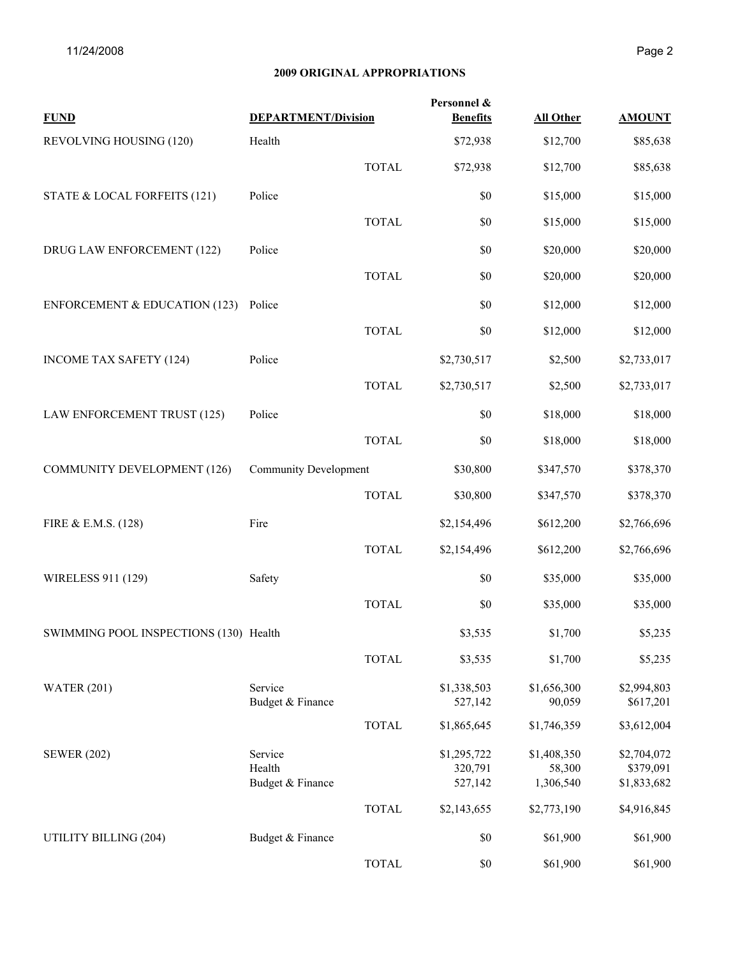| <b>FUND</b>                              | <b>DEPARTMENT/Division</b>            |              | Personnel &<br><b>Benefits</b>    | <b>All Other</b>                   | <b>AMOUNT</b>                           |
|------------------------------------------|---------------------------------------|--------------|-----------------------------------|------------------------------------|-----------------------------------------|
| REVOLVING HOUSING (120)                  | Health                                |              | \$72,938                          | \$12,700                           | \$85,638                                |
|                                          |                                       | <b>TOTAL</b> | \$72,938                          | \$12,700                           | \$85,638                                |
| STATE & LOCAL FORFEITS (121)             | Police                                |              | \$0                               | \$15,000                           | \$15,000                                |
|                                          |                                       | <b>TOTAL</b> | \$0                               | \$15,000                           | \$15,000                                |
| DRUG LAW ENFORCEMENT (122)               | Police                                |              | \$0                               | \$20,000                           | \$20,000                                |
|                                          |                                       | <b>TOTAL</b> | \$0                               | \$20,000                           | \$20,000                                |
| <b>ENFORCEMENT &amp; EDUCATION (123)</b> | Police                                |              | \$0                               | \$12,000                           | \$12,000                                |
|                                          |                                       | <b>TOTAL</b> | \$0                               | \$12,000                           | \$12,000                                |
| <b>INCOME TAX SAFETY (124)</b>           | Police                                |              | \$2,730,517                       | \$2,500                            | \$2,733,017                             |
|                                          |                                       | <b>TOTAL</b> | \$2,730,517                       | \$2,500                            | \$2,733,017                             |
| LAW ENFORCEMENT TRUST (125)              | Police                                |              | \$0                               | \$18,000                           | \$18,000                                |
|                                          |                                       | <b>TOTAL</b> | \$0                               | \$18,000                           | \$18,000                                |
| <b>COMMUNITY DEVELOPMENT (126)</b>       | <b>Community Development</b>          |              | \$30,800                          | \$347,570                          | \$378,370                               |
|                                          |                                       | <b>TOTAL</b> | \$30,800                          | \$347,570                          | \$378,370                               |
| FIRE & E.M.S. (128)                      | Fire                                  |              | \$2,154,496                       | \$612,200                          | \$2,766,696                             |
|                                          |                                       | <b>TOTAL</b> | \$2,154,496                       | \$612,200                          | \$2,766,696                             |
| WIRELESS 911 (129)                       | Safety                                |              | \$0                               | \$35,000                           | \$35,000                                |
|                                          |                                       | <b>TOTAL</b> | \$0                               | \$35,000                           | \$35,000                                |
| SWIMMING POOL INSPECTIONS (130) Health   |                                       |              | \$3,535                           | \$1,700                            | \$5,235                                 |
|                                          |                                       | <b>TOTAL</b> | \$3,535                           | \$1,700                            | \$5,235                                 |
| <b>WATER (201)</b>                       | Service<br>Budget & Finance           |              | \$1,338,503<br>527,142            | \$1,656,300<br>90,059              | \$2,994,803<br>\$617,201                |
|                                          |                                       | <b>TOTAL</b> | \$1,865,645                       | \$1,746,359                        | \$3,612,004                             |
| <b>SEWER (202)</b>                       | Service<br>Health<br>Budget & Finance |              | \$1,295,722<br>320,791<br>527,142 | \$1,408,350<br>58,300<br>1,306,540 | \$2,704,072<br>\$379,091<br>\$1,833,682 |
|                                          |                                       | <b>TOTAL</b> | \$2,143,655                       | \$2,773,190                        | \$4,916,845                             |
| UTILITY BILLING (204)                    | Budget & Finance                      |              | \$0                               | \$61,900                           | \$61,900                                |
|                                          |                                       | <b>TOTAL</b> | \$0                               | \$61,900                           | \$61,900                                |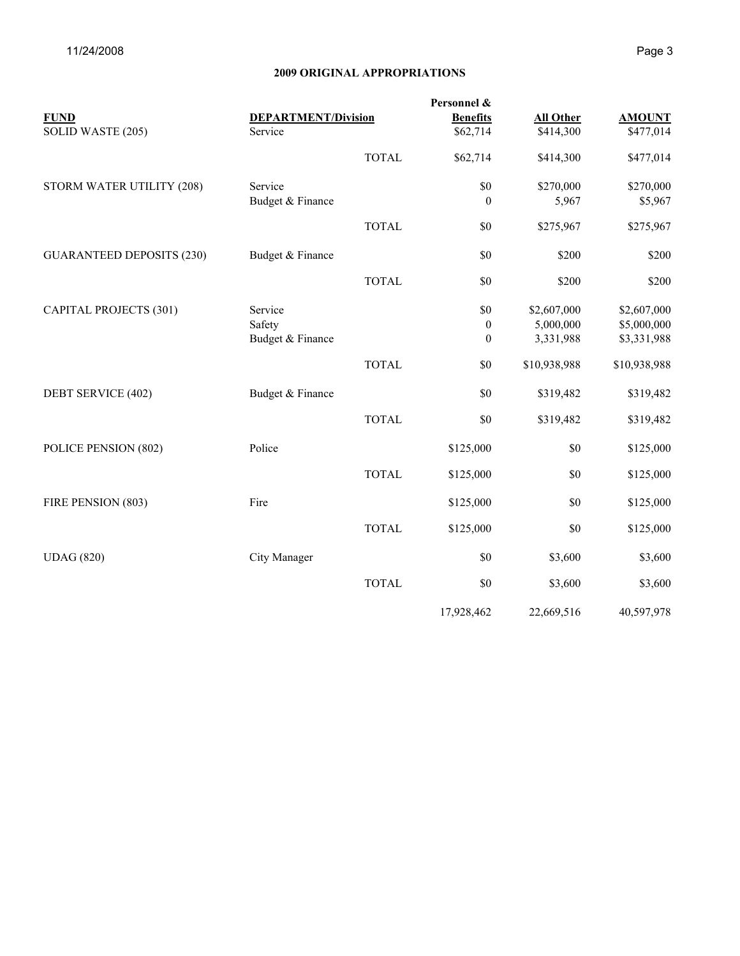| <b>FUND</b>                      | <b>DEPARTMENT/Division</b> |              | <b>Benefits</b> | <b>All Other</b> | <b>AMOUNT</b> |
|----------------------------------|----------------------------|--------------|-----------------|------------------|---------------|
| SOLID WASTE (205)                | Service                    |              | \$62,714        | \$414,300        | \$477,014     |
|                                  |                            | <b>TOTAL</b> | \$62,714        | \$414,300        | \$477,014     |
| STORM WATER UTILITY (208)        | Service                    |              | \$0             | \$270,000        | \$270,000     |
|                                  | Budget & Finance           |              | $\theta$        | 5,967            | \$5,967       |
|                                  |                            | <b>TOTAL</b> | \$0             | \$275,967        | \$275,967     |
| <b>GUARANTEED DEPOSITS (230)</b> | Budget & Finance           |              | \$0             | \$200            | \$200         |
|                                  |                            | <b>TOTAL</b> | \$0             | \$200            | \$200         |
| <b>CAPITAL PROJECTS (301)</b>    | Service                    |              | \$0             | \$2,607,000      | \$2,607,000   |
|                                  | Safety                     |              | $\mathbf{0}$    | 5,000,000        | \$5,000,000   |
|                                  | Budget & Finance           |              | $\theta$        | 3,331,988        | \$3,331,988   |
|                                  |                            | <b>TOTAL</b> | \$0             | \$10,938,988     | \$10,938,988  |
| DEBT SERVICE (402)               | Budget & Finance           |              | \$0             | \$319,482        | \$319,482     |
|                                  |                            | <b>TOTAL</b> | \$0             | \$319,482        | \$319,482     |
| POLICE PENSION (802)             | Police                     |              | \$125,000       | \$0              | \$125,000     |
|                                  |                            | <b>TOTAL</b> | \$125,000       | \$0              | \$125,000     |
| FIRE PENSION (803)               | Fire                       |              | \$125,000       | $\$0$            | \$125,000     |
|                                  |                            | <b>TOTAL</b> | \$125,000       | $\$0$            | \$125,000     |
| <b>UDAG</b> (820)                | City Manager               |              | \$0             | \$3,600          | \$3,600       |
|                                  |                            | <b>TOTAL</b> | \$0             | \$3,600          | \$3,600       |
|                                  |                            |              | 17,928,462      | 22,669,516       | 40,597,978    |